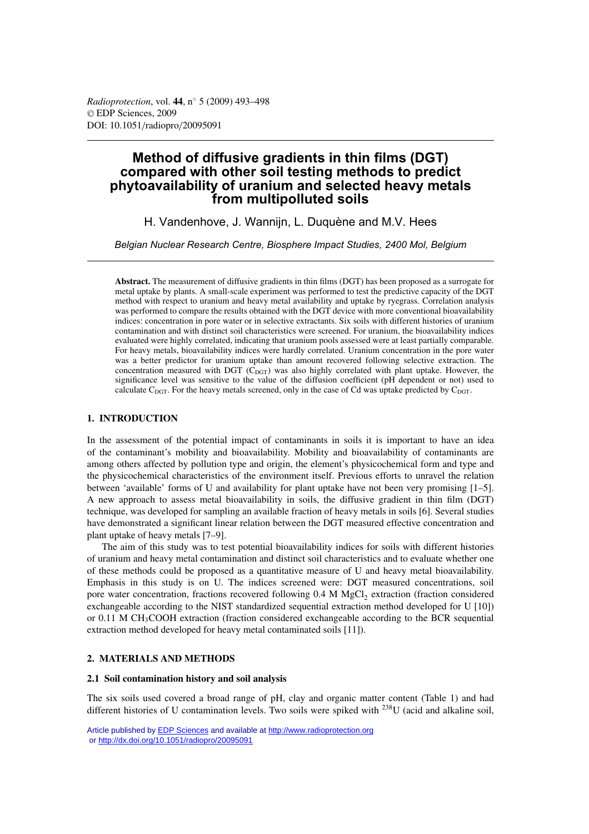# **Method of diffusive gradients in thin films (DGT) compared with other soil testing methods to predict phytoavailability of uranium and selected heavy metals from multipolluted soils**

H. Vandenhove, J. Wannijn, L. Duquène and M.V. Hees

*Belgian Nuclear Research Centre, Biosphere Impact Studies, 2400 Mol, Belgium*

**Abstract.** The measurement of diffusive gradients in thin films (DGT) has been proposed as a surrogate for metal uptake by plants. A small-scale experiment was performed to test the predictive capacity of the DGT method with respect to uranium and heavy metal availability and uptake by ryegrass. Correlation analysis was performed to compare the results obtained with the DGT device with more conventional bioavailability indices: concentration in pore water or in selective extractants. Six soils with different histories of uranium contamination and with distinct soil characteristics were screened. For uranium, the bioavailability indices evaluated were highly correlated, indicating that uranium pools assessed were at least partially comparable. For heavy metals, bioavailability indices were hardly correlated. Uranium concentration in the pore water was a better predictor for uranium uptake than amount recovered following selective extraction. The concentration measured with DGT ( $C_{\text{DGT}}$ ) was also highly correlated with plant uptake. However, the significance level was sensitive to the value of the diffusion coefficient (pH dependent or not) used to calculate  $C_{\text{DGT}}$ . For the heavy metals screened, only in the case of Cd was uptake predicted by  $C_{\text{DGT}}$ .

# **1. INTRODUCTION**

In the assessment of the potential impact of contaminants in soils it is important to have an idea of the contaminant's mobility and bioavailability. Mobility and bioavailability of contaminants are among others affected by pollution type and origin, the element's physicochemical form and type and the physicochemical characteristics of the environment itself. Previous efforts to unravel the relation between 'available' forms of U and availability for plant uptake have not been very promising [1–5]. A new approach to assess metal bioavailability in soils, the diffusive gradient in thin film (DGT) technique, was developed for sampling an available fraction of heavy metals in soils [6]. Several studies have demonstrated a significant linear relation between the DGT measured effective concentration and plant uptake of heavy metals [7–9].

The aim of this study was to test potential bioavailability indices for soils with different histories of uranium and heavy metal contamination and distinct soil characteristics and to evaluate whether one of these methods could be proposed as a quantitative measure of U and heavy metal bioavailability. Emphasis in this study is on U. The indices screened were: DGT measured concentrations, soil pore water concentration, fractions recovered following 0.4 M MgCl<sub>2</sub> extraction (fraction considered exchangeable according to the NIST standardized sequential extraction method developed for U [10]) or 0.11 M CH3COOH extraction (fraction considered exchangeable according to the BCR sequential extraction method developed for heavy metal contaminated soils [11]).

# **2. MATERIALS AND METHODS**

# **2.1 Soil contamination history and soil analysis**

The six soils used covered a broad range of pH, clay and organic matter content (Table 1) and had different histories of U contamination levels. Two soils were spiked with 238U (acid and alkaline soil,

Article published by [EDP Sciences](http://www.edpsciences.org) and available at<http://www.radioprotection.org> or <http://dx.doi.org/10.1051/radiopro/20095091>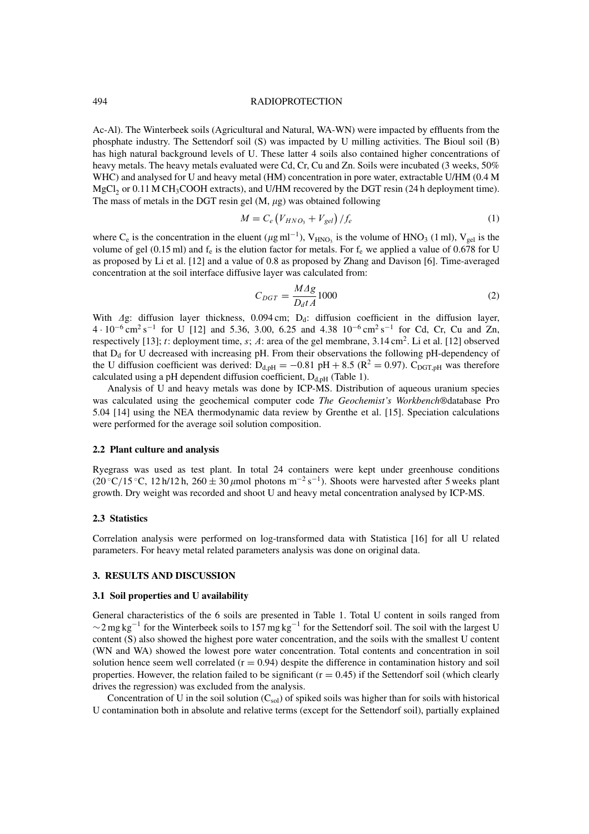### 494 RADIOPROTECTION

Ac-Al). The Winterbeek soils (Agricultural and Natural, WA-WN) were impacted by effluents from the phosphate industry. The Settendorf soil (S) was impacted by U milling activities. The Bioul soil (B) has high natural background levels of U. These latter 4 soils also contained higher concentrations of heavy metals. The heavy metals evaluated were Cd, Cr, Cu and Zn. Soils were incubated (3 weeks, 50% WHC) and analysed for U and heavy metal (HM) concentration in pore water, extractable U/HM (0.4 M  $MgCl<sub>2</sub>$  or 0.11 M CH<sub>3</sub>COOH extracts), and U/HM recovered by the DGT resin (24 h deployment time). The mass of metals in the DGT resin gel  $(M, \mu g)$  was obtained following

$$
M = C_e \left( V_{HNO_3} + V_{gel} \right) / f_e \tag{1}
$$

where C<sub>e</sub> is the concentration in the eluent ( $\mu$ g ml<sup>-1</sup>), V<sub>HNO3</sub> is the volume of HNO<sub>3</sub> (1 ml), V<sub>gel</sub> is the volume of gel (0.15 ml) and  $f_e$  is the elution factor for metals. For  $f_e$  we applied a value of 0.678 for U as proposed by Li et al. [12] and a value of 0.8 as proposed by Zhang and Davison [6]. Time-averaged concentration at the soil interface diffusive layer was calculated from:

$$
C_{DGT} = \frac{MAg}{D_d t A} 1000\tag{2}
$$

With  $\Delta g$ : diffusion layer thickness, 0.094 cm; D<sub>d</sub>: diffusion coefficient in the diffusion layer,  $4 \cdot 10^{-6}$  cm<sup>2</sup> s<sup>-1</sup> for U [12] and 5.36, 3.00, 6.25 and 4.38 10<sup>-6</sup> cm<sup>2</sup> s<sup>-1</sup> for Cd, Cr, Cu and Zn, respectively [13]; t: deployment time, s; A: area of the gel membrane,  $3.14 \text{ cm}^2$ . Li et al. [12] observed that  $D_d$  for U decreased with increasing pH. From their observations the following pH-dependency of the U diffusion coefficient was derived:  $D_{d,pH} = -0.81 \text{ pH} + 8.5 \text{ (R}^2 = 0.97)$ . C<sub>DGT,pH</sub> was therefore calculated using a pH dependent diffusion coefficient,  $D_{d,pH}$  (Table 1).

Analysis of U and heavy metals was done by ICP-MS. Distribution of aqueous uranium species was calculated using the geochemical computer code *The Geochemist's Workbench®*database Pro 5.04 [14] using the NEA thermodynamic data review by Grenthe et al. [15]. Speciation calculations were performed for the average soil solution composition.

# **2.2 Plant culture and analysis**

Ryegrass was used as test plant. In total 24 containers were kept under greenhouse conditions (20 °C/15 °C, 12 h/12 h, 260  $\pm$  30  $\mu$ mol photons m<sup>-2</sup> s<sup>-1</sup>). Shoots were harvested after 5 weeks plant growth. Dry weight was recorded and shoot U and heavy metal concentration analysed by ICP-MS.

# **2.3 Statistics**

Correlation analysis were performed on log-transformed data with Statistica [16] for all U related parameters. For heavy metal related parameters analysis was done on original data.

#### **3. RESULTS AND DISCUSSION**

#### **3.1 Soil properties and U availability**

General characteristics of the 6 soils are presented in Table 1. Total U content in soils ranged from  $\sim$ 2 mg kg<sup>-1</sup> for the Winterbeek soils to 157 mg kg<sup>-1</sup> for the Settendorf soil. The soil with the largest U content (S) also showed the highest pore water concentration, and the soils with the smallest U content (WN and WA) showed the lowest pore water concentration. Total contents and concentration in soil solution hence seem well correlated  $(r = 0.94)$  despite the difference in contamination history and soil properties. However, the relation failed to be significant  $(r = 0.45)$  if the Settendorf soil (which clearly drives the regression) was excluded from the analysis.

Concentration of U in the soil solution  $(C_{sol})$  of spiked soils was higher than for soils with historical U contamination both in absolute and relative terms (except for the Settendorf soil), partially explained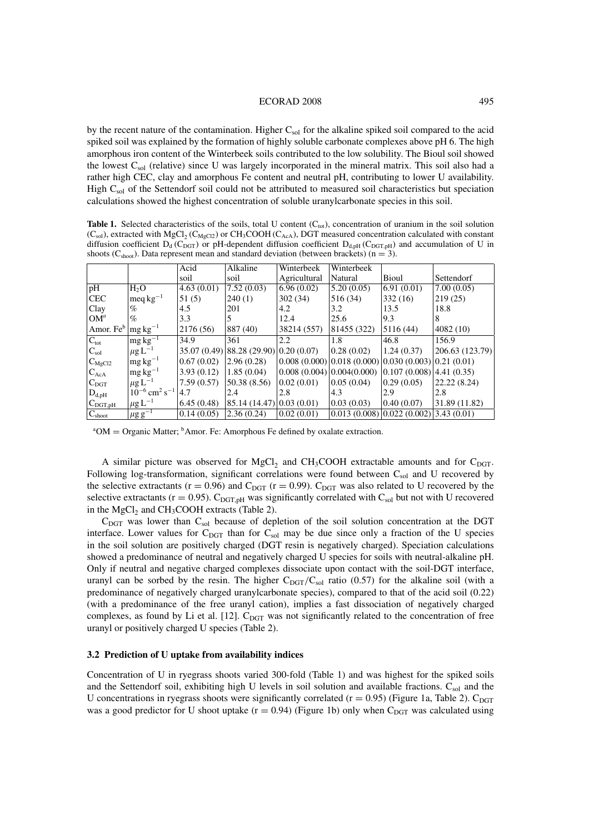by the recent nature of the contamination. Higher  $C_{sol}$  for the alkaline spiked soil compared to the acid spiked soil was explained by the formation of highly soluble carbonate complexes above pH 6. The high amorphous iron content of the Winterbeek soils contributed to the low solubility. The Bioul soil showed the lowest C<sub>sol</sub> (relative) since U was largely incorporated in the mineral matrix. This soil also had a rather high CEC, clay and amorphous Fe content and neutral pH, contributing to lower U availability. High C<sub>sol</sub> of the Settendorf soil could not be attributed to measured soil characteristics but speciation calculations showed the highest concentration of soluble uranylcarbonate species in this soil.

**Table 1.** Selected characteristics of the soils, total U content  $(C_{tot})$ , concentration of uranium in the soil solution  $(C_{sol})$ , extracted with MgCl<sub>2</sub> (C<sub>MgCl2</sub>) or CH<sub>3</sub>COOH (C<sub>AcA</sub>), DGT measured concentration calculated with constant diffusion coefficient  $D_d$  (C<sub>DGT</sub>) or pH-dependent diffusion coefficient  $D_{d,pH}$  (C<sub>DGT,pH</sub>) and accumulation of U in shoots ( $C_{\text{shoot}}$ ). Data represent mean and standard deviation (between brackets) (n = 3).

|                      |                                           | Acid        | Alkaline                       | Winterbeek   | Winterbeek   |                                                          |                 |
|----------------------|-------------------------------------------|-------------|--------------------------------|--------------|--------------|----------------------------------------------------------|-----------------|
|                      |                                           | soil        | soil                           | Agricultural | Natural      | Bioul                                                    | Settendorf      |
| pH                   | H <sub>2</sub> O                          | 4.63(0.01)  | 7.52(0.03)                     | (6.96(0.02)) | 5.20(0.05)   | (6.91(0.01))                                             | 7.00(0.05)      |
| <b>CEC</b>           | $\text{meq}\,\text{kg}^{-1}$              | 51(5)       | 240(1)                         | 302(34)      | 516 (34)     | 332(16)                                                  | 219(25)         |
| Clay                 | $\%$                                      | 4.5         | 201                            | 4.2          | 3.2          | 13.5                                                     | 18.8            |
| $ OM^a$              | $\%$                                      | 3.3         |                                | 12.4         | 25.6         | 9.3                                                      | 8               |
| Amor. Fe $^{\rm b}$  | $\log \text{kg}^{-1}$                     | 2176 (56)   | 887 (40)                       | 38214 (557)  | 81455 (322)  | 5116 (44)                                                | 4082(10)        |
| $ C_{\text{tot}} $   | $mg\,kg^{-1}$                             | 34.9        | 361                            | 2.2          | 1.8          | 46.8                                                     | 156.9           |
| $ C_{\rm sol} $      | $\mu$ g L <sup>-1</sup>                   | 35.07(0.49) | 88.28(29.90)[0.20(0.07)]       |              | 0.28(0.02)   | 1.24(0.37)                                               | 206.63 (123.79) |
| $C_{\text{MgCl2}}$   | $\log \text{kg}^{-1}$                     | 0.67(0.02)  | 2.96(0.28)                     |              |              | $(0.008 (0.000) 0.018 (0.000) 0.030 (0.003) 0.21 (0.01)$ |                 |
| $ C_{AcA} $          | $mg\,kg^{-1}$                             | 3.93(0.12)  | 1.85(0.04)                     |              |              | $(0.008(0.004)(0.004(0.000)(0.107(0.008))4.41(0.35))$    |                 |
| $ C_{\text{DGT}} $   | $\mu$ g L <sup>-1</sup>                   | 7.59(0.57)  | 50.38 (8.56)                   | 0.02(0.01)   | (0.05(0.04)) | 0.29(0.05)                                               | 22.22(8.24)     |
| $D_{d,pH}$           | $10^{-6}$ cm <sup>2</sup> s <sup>-1</sup> | 4.7         | 2.4                            | 2.8          | 4.3          | 2.9                                                      | 2.8             |
| $C_{\text{DGT,pH}}$  | $\mu$ g L <sup>-1</sup>                   | 6.45(0.48)  | $85.14(14.47) \mid 0.03(0.01)$ |              | (0.03(0.03)) | 0.40(0.07)                                               | 31.89 (11.82)   |
| $ C_{\text{shoot}} $ | $\mu$ g g <sup>-1</sup>                   | 0.14(0.05)  | 2.36(0.24)                     | 0.02(0.01)   |              | $(0.013(0.008)(0.022(0.002)(3.43(0.01)))$                |                 |

 $A^aOM =$  Organic Matter;  $^b$ Amor. Fe: Amorphous Fe defined by oxalate extraction.

A similar picture was observed for MgCl<sub>2</sub> and CH<sub>3</sub>COOH extractable amounts and for C<sub>DGT</sub>. Following log-transformation, significant correlations were found between  $C_{sol}$  and U recovered by the selective extractants ( $r = 0.96$ ) and  $C_{\text{DGT}}$  ( $r = 0.99$ ).  $C_{\text{DGT}}$  was also related to U recovered by the selective extractants ( $r = 0.95$ ). C<sub>DGT,pH</sub> was significantly correlated with C<sub>sol</sub> but not with U recovered in the MgCl<sub>2</sub> and CH<sub>3</sub>COOH extracts (Table 2).

 $C_{\text{DGT}}$  was lower than  $C_{\text{sol}}$  because of depletion of the soil solution concentration at the DGT interface. Lower values for  $C_{\text{DGT}}$  than for  $C_{\text{sol}}$  may be due since only a fraction of the U species in the soil solution are positively charged (DGT resin is negatively charged). Speciation calculations showed a predominance of neutral and negatively charged U species for soils with neutral-alkaline pH. Only if neutral and negative charged complexes dissociate upon contact with the soil-DGT interface, uranyl can be sorbed by the resin. The higher  $C_{\text{DGT}}/C_{\text{sol}}$  ratio (0.57) for the alkaline soil (with a predominance of negatively charged uranylcarbonate species), compared to that of the acid soil (0.22) (with a predominance of the free uranyl cation), implies a fast dissociation of negatively charged complexes, as found by Li et al. [12].  $C_{\text{DGT}}$  was not significantly related to the concentration of free uranyl or positively charged U species (Table 2).

## **3.2 Prediction of U uptake from availability indices**

Concentration of U in ryegrass shoots varied 300-fold (Table 1) and was highest for the spiked soils and the Settendorf soil, exhibiting high U levels in soil solution and available fractions. Csol and the U concentrations in ryegrass shoots were significantly correlated  $(r = 0.95)$  (Figure 1a, Table 2). C<sub>DGT</sub> was a good predictor for U shoot uptake  $(r = 0.94)$  (Figure 1b) only when C<sub>DGT</sub> was calculated using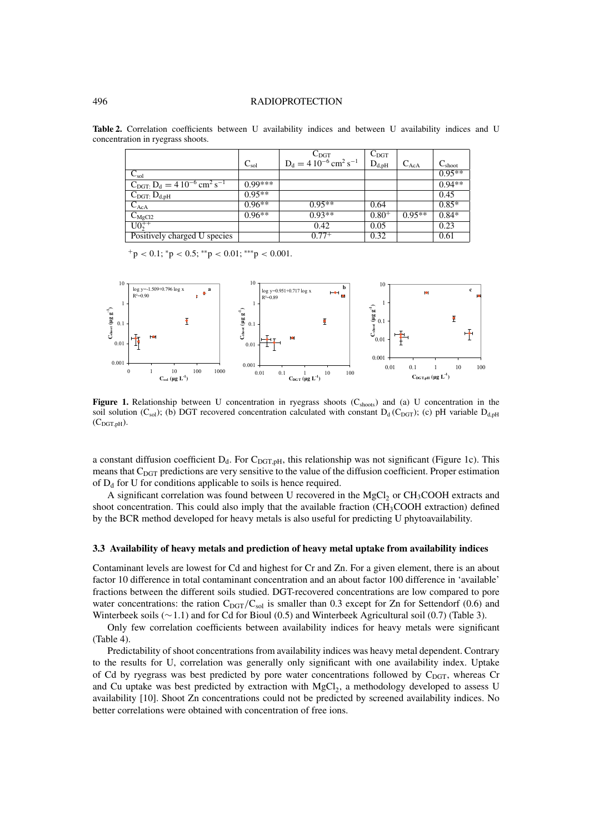#### 496 RADIOPROTECTION

|                                                                        |           | $C_{\text{DGT}}$                                 | $C_{\rm DGT}$ |           |                    |
|------------------------------------------------------------------------|-----------|--------------------------------------------------|---------------|-----------|--------------------|
|                                                                        | $C_{sol}$ | $D_d = 410^{-6}$ cm <sup>2</sup> s <sup>-1</sup> | $D_{d,pH}$    | $C_{AcA}$ | $C_{\text{shoot}}$ |
| $C_{\rm sol}^-$                                                        |           |                                                  |               |           | $0.95**$           |
| $C_{\text{DGT}}$ : $D_d = 4 \cdot 10^{-6} \text{ cm}^2 \text{ s}^{-1}$ | $0.99***$ |                                                  |               |           | $0.94**$           |
| $C_{\text{DGT:}} D_{d,pH}$                                             | $0.95**$  |                                                  |               |           | 0.45               |
| $C_{AcA}$                                                              | $0.96**$  | $0.95**$                                         | 0.64          |           | $0.85*$            |
| $C_{\text{MgCl2}}$                                                     | $0.96**$  | $0.93**$                                         | $0.80^{+}$    | $0.95**$  | $0.84*$            |
| $\overline{U0_{2}^{++}}$                                               |           | 0.42                                             | 0.05          |           | 0.23               |
| Positively charged U species                                           |           | $0.77^{+}$                                       | 0.32          |           | 0.61               |

**Table 2.** Correlation coefficients between U availability indices and between U availability indices and U concentration in ryegrass shoots.

 $+p < 0.1$ ; \*p  $< 0.5$ ; \*\*p  $< 0.01$ ; \*\*\*p  $< 0.001$ .



**Figure 1.** Relationship between U concentration in ryegrass shoots  $(C_{\text{shows}})$  and (a) U concentration in the soil solution (C<sub>sol</sub>); (b) DGT recovered concentration calculated with constant D<sub>d</sub> (C<sub>DGT</sub>); (c) pH variable D<sub>d,pH</sub>  $(C_{\text{DGT,pH}})$ .

a constant diffusion coefficient  $D_d$ . For  $C_{DGT,pH}$ , this relationship was not significant (Figure 1c). This means that  $C_{\text{DGT}}$  predictions are very sensitive to the value of the diffusion coefficient. Proper estimation of  $D_d$  for U for conditions applicable to soils is hence required.

A significant correlation was found between U recovered in the MgCl<sub>2</sub> or CH<sub>3</sub>COOH extracts and shoot concentration. This could also imply that the available fraction ( $CH<sub>3</sub>COOH$  extraction) defined by the BCR method developed for heavy metals is also useful for predicting U phytoavailability.

## **3.3 Availability of heavy metals and prediction of heavy metal uptake from availability indices**

Contaminant levels are lowest for Cd and highest for Cr and Zn. For a given element, there is an about factor 10 difference in total contaminant concentration and an about factor 100 difference in 'available' fractions between the different soils studied. DGT-recovered concentrations are low compared to pore water concentrations: the ration  $C_{\text{DGT}}/C_{\text{sol}}$  is smaller than 0.3 except for Zn for Settendorf (0.6) and Winterbeek soils (∼1.1) and for Cd for Bioul (0.5) and Winterbeek Agricultural soil (0.7) (Table 3).

Only few correlation coefficients between availability indices for heavy metals were significant (Table 4).

Predictability of shoot concentrations from availability indices was heavy metal dependent. Contrary to the results for U, correlation was generally only significant with one availability index. Uptake of Cd by ryegrass was best predicted by pore water concentrations followed by  $C_{\text{DGT}}$ , whereas Cr and Cu uptake was best predicted by extraction with  $MgCl<sub>2</sub>$ , a methodology developed to assess U availability [10]. Shoot Zn concentrations could not be predicted by screened availability indices. No better correlations were obtained with concentration of free ions.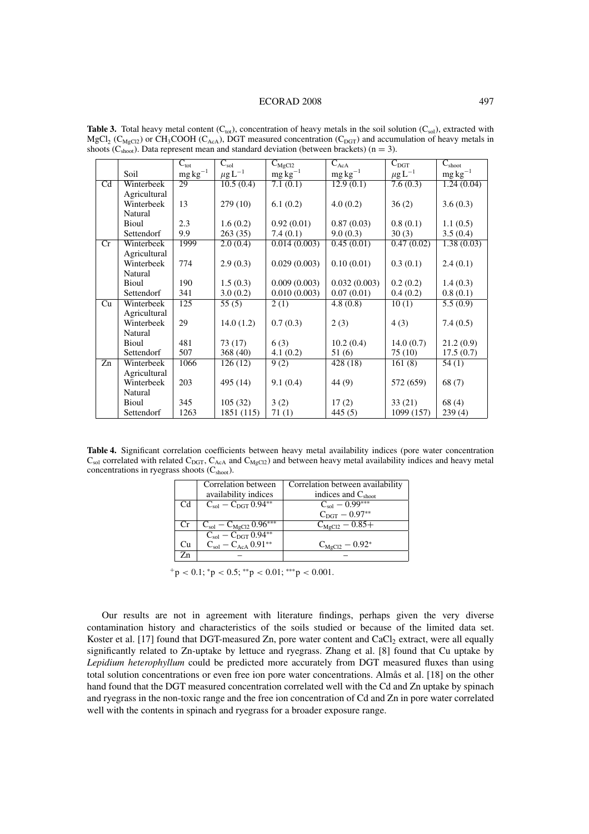#### ECORAD 2008 497

|                        |              | $C_{\text{tot}}$  | $C_{\rm sol}$           | $C_{\text{MgCl2}}$ | $\overline{C_{AcA}}$ | $C_{\rm DGT}$           | $\overline{C_{\rm shoot}}$ |
|------------------------|--------------|-------------------|-------------------------|--------------------|----------------------|-------------------------|----------------------------|
|                        | Soil         | $\rm mg\,kg^{-1}$ | $\mu$ g L <sup>-1</sup> | $mg\bar{kg}^{-1}$  | $mg\,kg^{-1}$        | $\mu$ g L <sup>-1</sup> | $mg\,kg^{-1}$              |
| $\overline{\text{Cd}}$ | Winterbeek   | 29                | 10.5(0.4)               | 7.1(0.1)           | 12.9(0.1)            | 7.6(0.3)                | 1.24(0.04)                 |
|                        | Agricultural |                   |                         |                    |                      |                         |                            |
|                        | Winterbeek   | 13                | 279(10)                 | 6.1(0.2)           | 4.0(0.2)             | 36(2)                   | 3.6(0.3)                   |
|                        | Natural      |                   |                         |                    |                      |                         |                            |
|                        | Bioul        | 2.3               | 1.6(0.2)                | 0.92(0.01)         | 0.87(0.03)           | 0.8(0.1)                | 1.1(0.5)                   |
|                        | Settendorf   | 9.9               | 263(35)                 | 7.4(0.1)           | 9.0(0.3)             | 30(3)                   | 3.5(0.4)                   |
| Cr                     | Winterbeek   | 1999              | 2.0(0.4)                | 0.014(0.003)       | 0.45(0.01)           | 0.47(0.02)              | 1.38(0.03)                 |
|                        | Agricultural |                   |                         |                    |                      |                         |                            |
|                        | Winterbeek   | 774               | 2.9(0.3)                | 0.029(0.003)       | 0.10(0.01)           | 0.3(0.1)                | 2.4(0.1)                   |
|                        | Natural      |                   |                         |                    |                      |                         |                            |
|                        | Bioul        | 190               | 1.5(0.3)                | 0.009(0.003)       | 0.032(0.003)         | 0.2(0.2)                | 1.4(0.3)                   |
|                        | Settendorf   | 341               | 3.0(0.2)                | 0.010(0.003)       | 0.07(0.01)           | 0.4(0.2)                | 0.8(0.1)                   |
| Cu                     | Winterbeek   | 125               | $\overline{55(5)}$      | 2(1)               | 4.8(0.8)             | 10(1)                   | 5.5(0.9)                   |
|                        | Agricultural |                   |                         |                    |                      |                         |                            |
|                        | Winterbeek   | 29                | 14.0(1.2)               | 0.7(0.3)           | 2(3)                 | 4(3)                    | 7.4(0.5)                   |
|                        | Natural      |                   |                         |                    |                      |                         |                            |
|                        | Bioul        | 481               | 73(17)                  | 6(3)               | 10.2(0.4)            | 14.0(0.7)               | 21.2(0.9)                  |
|                        | Settendorf   | 507               | 368(40)                 | 4.1(0.2)           | 51 (6)               | 75(10)                  | 17.5(0.7)                  |
| Zn                     | Winterbeek   | 1066              | 126(12)                 | 9(2)               | 428 (18)             | 161(8)                  | 54(1)                      |
|                        | Agricultural |                   |                         |                    |                      |                         |                            |
|                        | Winterbeek   | 203               | 495 (14)                | 9.1(0.4)           | 44 (9)               | 572 (659)               | 68(7)                      |
|                        | Natural      |                   |                         |                    |                      |                         |                            |
|                        | Bioul        | 345               | 105(32)                 | 3(2)               | 17(2)                | 33(21)                  | 68(4)                      |
|                        | Settendorf   | 1263              | 1851 (115)              | 71(1)              | 445(5)               | 1099 (157)              | 239(4)                     |

**Table 3.** Total heavy metal content  $(C_{tot})$ , concentration of heavy metals in the soil solution  $(C_{sol})$ , extracted with  $MgCl<sub>2</sub>$  (C<sub>MgCl2</sub>) or CH<sub>3</sub>COOH (C<sub>AcA</sub>), DGT measured concentration (C<sub>DGT</sub>) and accumulation of heavy metals in shoots ( $C_{\text{shoot}}$ ). Data represent mean and standard deviation (between brackets) (n = 3).

**Table 4.** Significant correlation coefficients between heavy metal availability indices (pore water concentration  $C_{sol}$  correlated with related  $C_{DGT}$ ,  $C_{AcA}$  and  $C_{MgCl2}$ ) and between heavy metal availability indices and heavy metal concentrations in ryegrass shoots  $(C_{\text{shoot}})$ .

|           | Correlation between                | Correlation between availability |
|-----------|------------------------------------|----------------------------------|
|           | availability indices               | indices and $C_{\text{shoot}}$   |
| Cd        | $C_{\rm sol} - C_{\rm DGT} 0.94**$ | $C_{\rm sol}$ – 0.99***          |
|           |                                    | $C_{\rm DGT} - 0.97^{**}$        |
| <b>Cr</b> | $C_{sol} - C_{MgCl2} 0.96***$      | $C_{MgCl2} - 0.85 +$             |
|           | $C_{\rm sol} - C_{\rm DGT} 0.94**$ |                                  |
| Cu        | $C_{sol} - C_{AcA} 0.91**$         | $C_{\text{MgCl2}} - 0.92^*$      |
| Zn        |                                    |                                  |
|           |                                    |                                  |

 $+p < 0.1$ ; \*p  $< 0.5$ ; \*\*p  $< 0.01$ ; \*\*\*p  $< 0.001$ .

Our results are not in agreement with literature findings, perhaps given the very diverse contamination history and characteristics of the soils studied or because of the limited data set. Koster et al. [17] found that DGT-measured Zn, pore water content and CaCl<sub>2</sub> extract, were all equally significantly related to Zn-uptake by lettuce and ryegrass. Zhang et al. [8] found that Cu uptake by *Lepidium heterophyllum* could be predicted more accurately from DGT measured fluxes than using total solution concentrations or even free ion pore water concentrations. Almås et al. [18] on the other hand found that the DGT measured concentration correlated well with the Cd and Zn uptake by spinach and ryegrass in the non-toxic range and the free ion concentration of Cd and Zn in pore water correlated well with the contents in spinach and ryegrass for a broader exposure range.